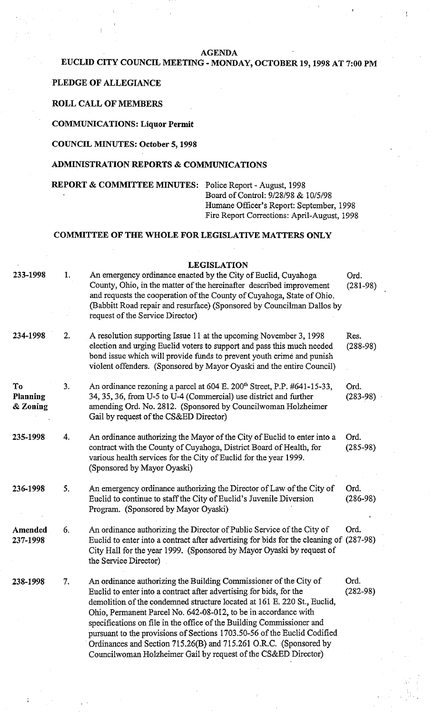#### **AGENDA**

# **EUCLID CITY COUNCIL MEETING** - **MONDAY, OCTOBER 19,1998 AT 7:00 PM**

## **PLEDGE OF ALLEGIANCE**

## **ROLL CALL OF MEMBERS**

#### **COMMUNICATIONS: Liquor Permit**

## **COUNCIL MINUTES: October 5,1998**

#### **ADMINISTRATION REPORTS** & **COMMUNICATIONS**

#### **REPORT** & **COMMITTEE MINUTES:** Police Report - August, 1998

Board of Control: 9/28/98 & 10/5/98 Humane Officer's Report: September, 1998 Fire Report Corrections: April-August, 1998

### **COMMITTEE OF THE WHOLE FOR LEGISLATIVE MATTERS ONLY**

#### **LEGISLATION**

| 233-1998                   | 1. | An emergency ordinance enacted by the City of Euclid, Cuyahoga<br>County, Ohio, in the matter of the hereinafter described improvement<br>and requests the cooperation of the County of Cuyahoga, State of Ohio.<br>(Babbitt Road repair and resurface) (Sponsored by Councilman Dallos by<br>request of the Service Director)                                                                                                                                                                                                                                                      | Ord.<br>$(281 - 98)$ |
|----------------------------|----|-------------------------------------------------------------------------------------------------------------------------------------------------------------------------------------------------------------------------------------------------------------------------------------------------------------------------------------------------------------------------------------------------------------------------------------------------------------------------------------------------------------------------------------------------------------------------------------|----------------------|
| 234-1998                   | 2. | A resolution supporting Issue 11 at the upcoming November 3, 1998<br>election and urging Euclid voters to support and pass this much needed<br>bond issue which will provide funds to prevent youth crime and punish<br>violent offenders. (Sponsored by Mayor Oyaski and the entire Council)                                                                                                                                                                                                                                                                                       | Res.<br>$(288-98)$   |
| To<br>Planning<br>& Zoning | 3. | An ordinance rezoning a parcel at 604 E. 200 <sup>th</sup> Street, P.P. #641-15-33,<br>34, 35, 36, from U-5 to U-4 (Commercial) use district and further<br>amending Ord. No. 2812. (Sponsored by Councilwoman Holzheimer<br>Gail by request of the CS&ED Director)                                                                                                                                                                                                                                                                                                                 | Ord.<br>$(283 - 98)$ |
| 235-1998                   | 4. | An ordinance authorizing the Mayor of the City of Euclid to enter into a<br>contract with the County of Cuyahoga, District Board of Health, for<br>various health services for the City of Euclid for the year 1999.<br>(Sponsored by Mayor Oyaski)                                                                                                                                                                                                                                                                                                                                 | Ord.<br>$(285-98)$   |
| 236-1998                   | 5. | An emergency ordinance authorizing the Director of Law of the City of<br>Euclid to continue to staff the City of Euclid's Juvenile Diversion<br>Program. (Sponsored by Mayor Oyaski)                                                                                                                                                                                                                                                                                                                                                                                                | Ord.<br>$(286-98)$   |
| Amended<br>237-1998        | 6. | An ordinance authorizing the Director of Public Service of the City of<br>Euclid to enter into a contract after advertising for bids for the cleaning of (287-98)<br>City Hall for the year 1999. (Sponsored by Mayor Oyaski by request of<br>the Service Director)                                                                                                                                                                                                                                                                                                                 | Ord.                 |
| 238-1998                   | 7. | An ordinance authorizing the Building Commissioner of the City of<br>Euclid to enter into a contract after advertising for bids, for the<br>demolition of the condemned structure located at 161 E. 220 St., Euclid,<br>Ohio, Permanent Parcel No. 642-08-012, to be in accordance with<br>specifications on file in the office of the Building Commissioner and<br>pursuant to the provisions of Sections 1703.50-56 of the Euclid Codified<br>Ordinances and Section 715.26(B) and 715.261 O.R.C. (Sponsored by<br>Councilwoman Holzheimer Gail by request of the CS&ED Director) | Ord.<br>$(282 - 98)$ |